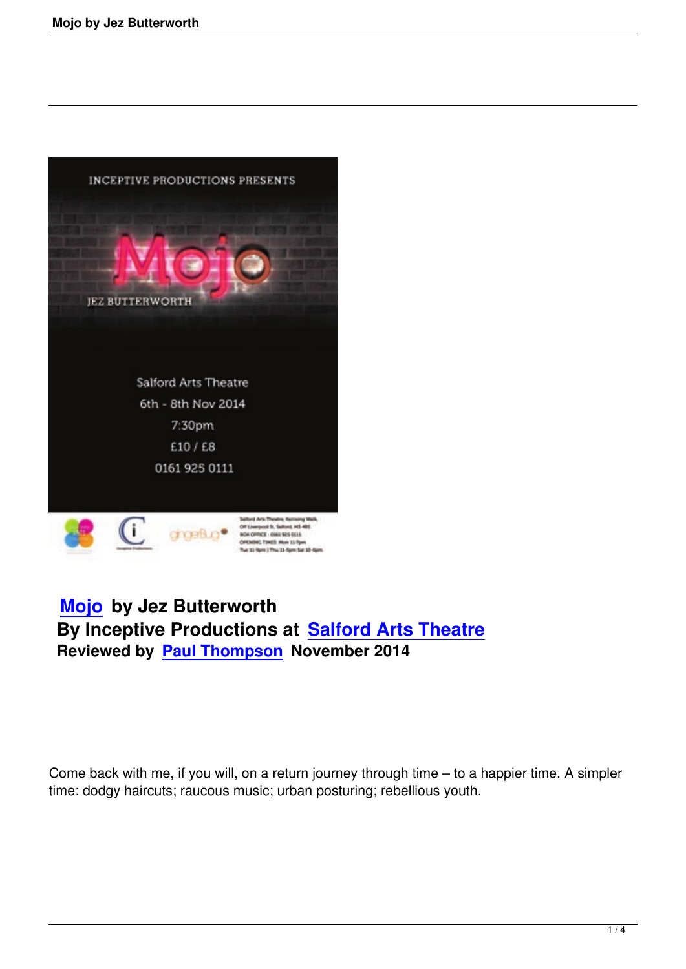

# **Mojo by Jez Butterworth By Inceptive Productions at Salford Arts Theatre [Review](mojo-jez-butterworth)ed by Paul Thompson November 2014**

Come back with me, if you will, on a return journey through time – to a happier time. A simpler time: dodgy haircuts; raucous music; urban posturing; rebellious youth.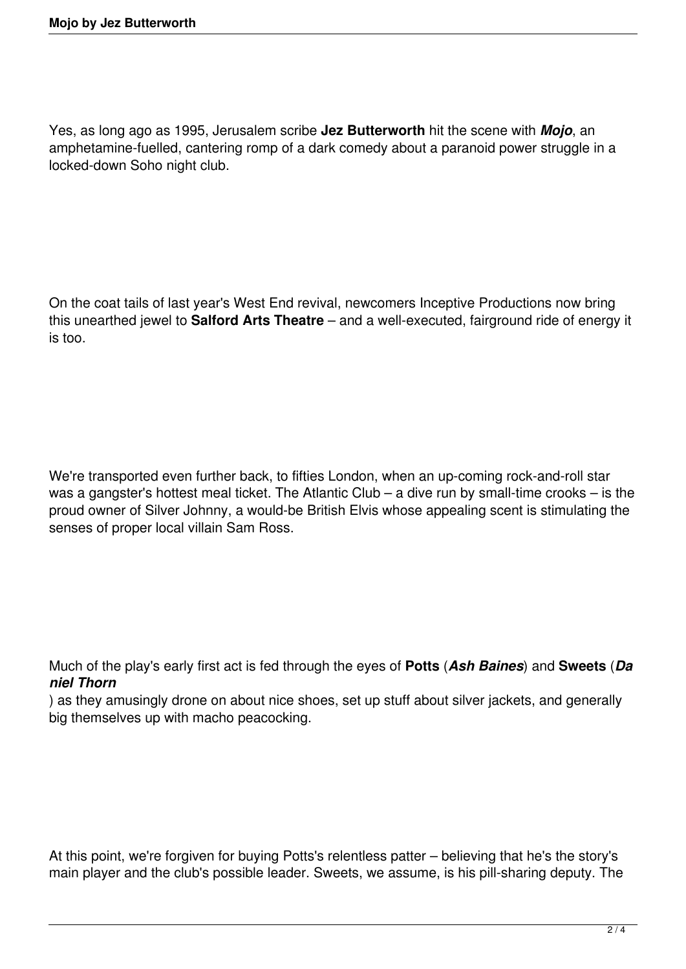Yes, as long ago as 1995, Jerusalem scribe **Jez Butterworth** hit the scene with *Mojo*, an amphetamine-fuelled, cantering romp of a dark comedy about a paranoid power struggle in a locked-down Soho night club.

On the coat tails of last year's West End revival, newcomers Inceptive Productions now bring this unearthed jewel to **Salford Arts Theatre** – and a well-executed, fairground ride of energy it is too.

We're transported even further back, to fifties London, when an up-coming rock-and-roll star was a gangster's hottest meal ticket. The Atlantic Club – a dive run by small-time crooks – is the proud owner of Silver Johnny, a would-be British Elvis whose appealing scent is stimulating the senses of proper local villain Sam Ross.

Much of the play's early first act is fed through the eyes of **Potts** (*Ash Baines*) and **Sweets** (*Da niel Thorn*

) as they amusingly drone on about nice shoes, set up stuff about silver jackets, and generally big themselves up with macho peacocking.

At this point, we're forgiven for buying Potts's relentless patter – believing that he's the story's main player and the club's possible leader. Sweets, we assume, is his pill-sharing deputy. The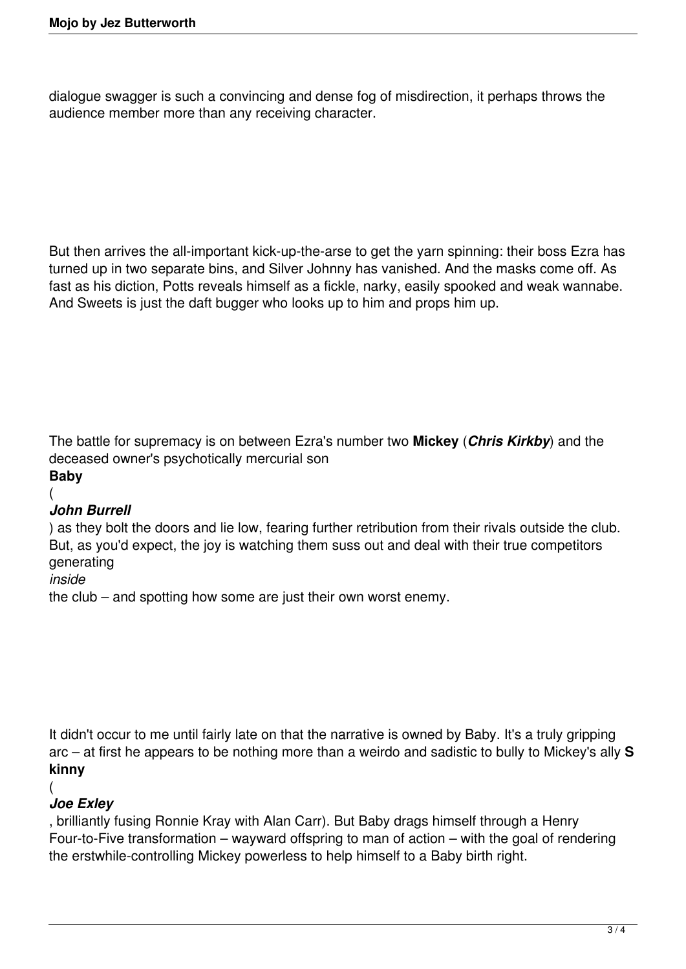dialogue swagger is such a convincing and dense fog of misdirection, it perhaps throws the audience member more than any receiving character.

But then arrives the all-important kick-up-the-arse to get the yarn spinning: their boss Ezra has turned up in two separate bins, and Silver Johnny has vanished. And the masks come off. As fast as his diction, Potts reveals himself as a fickle, narky, easily spooked and weak wannabe. And Sweets is just the daft bugger who looks up to him and props him up.

The battle for supremacy is on between Ezra's number two **Mickey** (*Chris Kirkby*) and the deceased owner's psychotically mercurial son

## **Baby**

(

#### *John Burrell*

) as they bolt the doors and lie low, fearing further retribution from their rivals outside the club. But, as you'd expect, the joy is watching them suss out and deal with their true competitors generating

*inside* 

the club – and spotting how some are just their own worst enemy.

It didn't occur to me until fairly late on that the narrative is owned by Baby. It's a truly gripping arc – at first he appears to be nothing more than a weirdo and sadistic to bully to Mickey's ally **S kinny**

#### (

### *Joe Exley*

, brilliantly fusing Ronnie Kray with Alan Carr). But Baby drags himself through a Henry Four-to-Five transformation – wayward offspring to man of action – with the goal of rendering the erstwhile-controlling Mickey powerless to help himself to a Baby birth right.